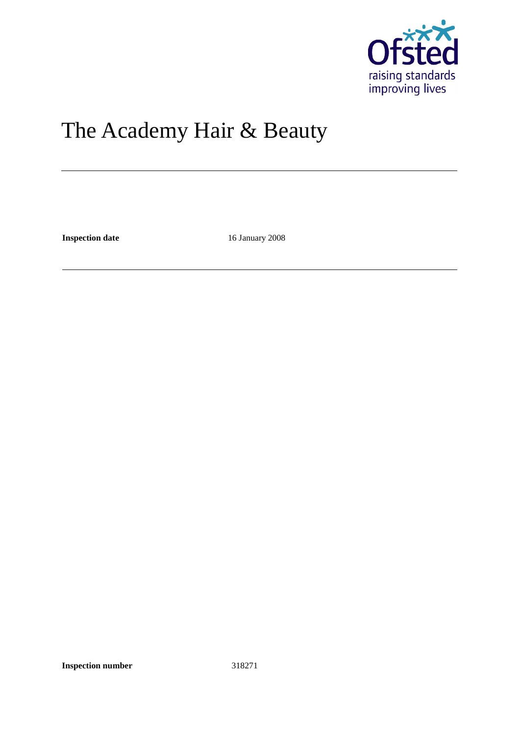

# The Academy Hair & Beauty

**Inspection date** 16 January 2008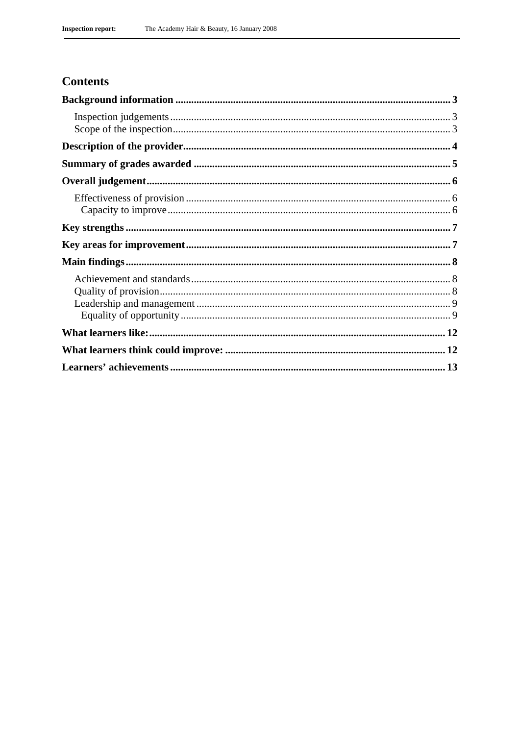## **Contents**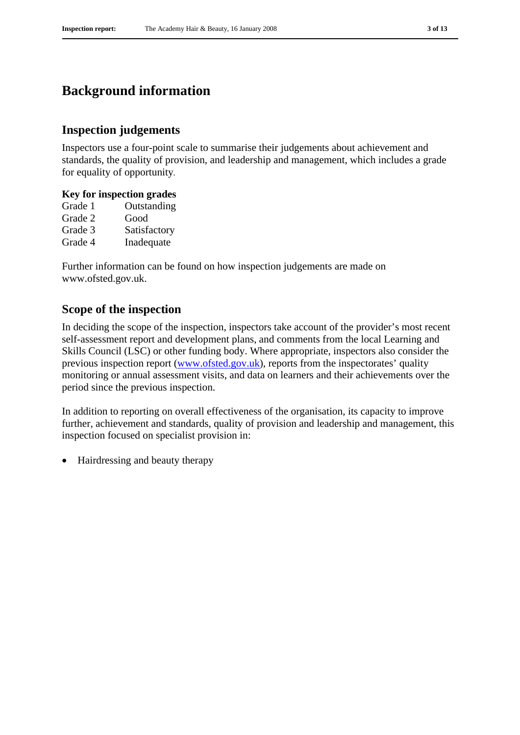## **Background information**

## **Inspection judgements**

Inspectors use a four-point scale to summarise their judgements about achievement and standards, the quality of provision, and leadership and management, which includes a grade for equality of opportunity.

#### **Key for inspection grades**

| Grade 1 | Outstanding  |
|---------|--------------|
| Grade 2 | Good         |
| Grade 3 | Satisfactory |
| Grade 4 | Inadequate   |

Further information can be found on how inspection judgements are made on www.ofsted.gov.uk.

### **Scope of the inspection**

In deciding the scope of the inspection, inspectors take account of the provider's most recent self-assessment report and development plans, and comments from the local Learning and Skills Council (LSC) or other funding body. Where appropriate, inspectors also consider the previous inspection report (www.ofsted.gov.uk), reports from the inspectorates' quality monitoring or annual assessment visits, and data on learners and their achievements over the period since the previous inspection.

In addition to reporting on overall effectiveness of the organisation, its capacity to improve further, achievement and standards, quality of provision and leadership and management, this inspection focused on specialist provision in:

• Hairdressing and beauty therapy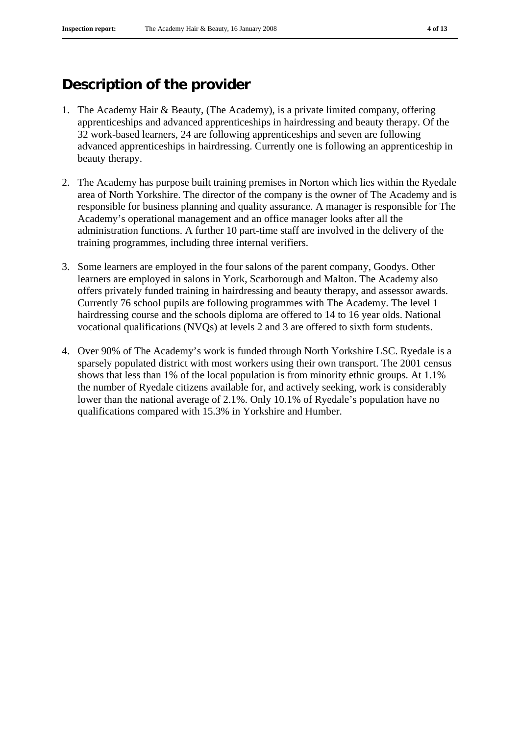## **Description of the provider**

- 1. The Academy Hair & Beauty, (The Academy), is a private limited company, offering apprenticeships and advanced apprenticeships in hairdressing and beauty therapy. Of the 32 work-based learners, 24 are following apprenticeships and seven are following advanced apprenticeships in hairdressing. Currently one is following an apprenticeship in beauty therapy.
- 2. The Academy has purpose built training premises in Norton which lies within the Ryedale area of North Yorkshire. The director of the company is the owner of The Academy and is responsible for business planning and quality assurance. A manager is responsible for The Academy's operational management and an office manager looks after all the administration functions. A further 10 part-time staff are involved in the delivery of the training programmes, including three internal verifiers.
- 3. Some learners are employed in the four salons of the parent company, Goodys. Other learners are employed in salons in York, Scarborough and Malton. The Academy also offers privately funded training in hairdressing and beauty therapy, and assessor awards. Currently 76 school pupils are following programmes with The Academy. The level 1 hairdressing course and the schools diploma are offered to 14 to 16 year olds. National vocational qualifications (NVQs) at levels 2 and 3 are offered to sixth form students.
- 4. Over 90% of The Academy's work is funded through North Yorkshire LSC. Ryedale is a sparsely populated district with most workers using their own transport. The 2001 census shows that less than 1% of the local population is from minority ethnic groups. At 1.1% the number of Ryedale citizens available for, and actively seeking, work is considerably lower than the national average of 2.1%. Only 10.1% of Ryedale's population have no qualifications compared with 15.3% in Yorkshire and Humber.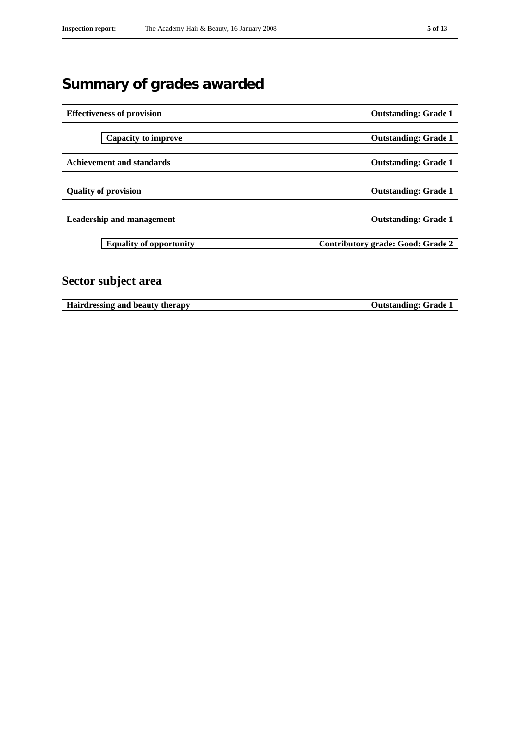# **Summary of grades awarded**

| <b>Effectiveness of provision</b> |                                | <b>Outstanding: Grade 1</b>       |
|-----------------------------------|--------------------------------|-----------------------------------|
|                                   |                                |                                   |
|                                   | Capacity to improve            | <b>Outstanding: Grade 1</b>       |
|                                   |                                |                                   |
| <b>Achievement and standards</b>  |                                | <b>Outstanding: Grade 1</b>       |
|                                   |                                |                                   |
| <b>Quality of provision</b>       |                                | <b>Outstanding: Grade 1</b>       |
|                                   |                                |                                   |
| <b>Leadership and management</b>  |                                | <b>Outstanding: Grade 1</b>       |
|                                   |                                |                                   |
|                                   | <b>Equality of opportunity</b> | Contributory grade: Good: Grade 2 |
|                                   |                                |                                   |
|                                   |                                |                                   |

## **Sector subject area**

**Hairdressing and beauty therapy Outstanding: Grade 1**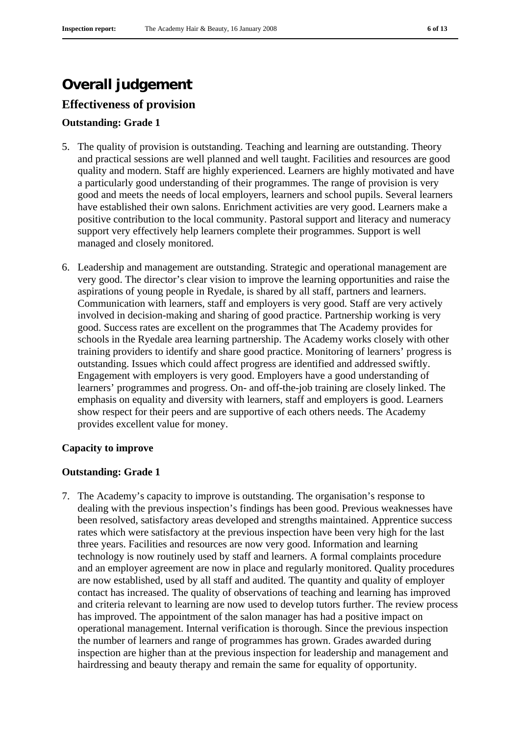## **Overall judgement**

## **Effectiveness of provision**

#### **Outstanding: Grade 1**

- 5. The quality of provision is outstanding. Teaching and learning are outstanding. Theory and practical sessions are well planned and well taught. Facilities and resources are good quality and modern. Staff are highly experienced. Learners are highly motivated and have a particularly good understanding of their programmes. The range of provision is very good and meets the needs of local employers, learners and school pupils. Several learners have established their own salons. Enrichment activities are very good. Learners make a positive contribution to the local community. Pastoral support and literacy and numeracy support very effectively help learners complete their programmes. Support is well managed and closely monitored.
- 6. Leadership and management are outstanding. Strategic and operational management are very good. The director's clear vision to improve the learning opportunities and raise the aspirations of young people in Ryedale, is shared by all staff, partners and learners. Communication with learners, staff and employers is very good. Staff are very actively involved in decision-making and sharing of good practice. Partnership working is very good. Success rates are excellent on the programmes that The Academy provides for schools in the Ryedale area learning partnership. The Academy works closely with other training providers to identify and share good practice. Monitoring of learners' progress is outstanding. Issues which could affect progress are identified and addressed swiftly. Engagement with employers is very good. Employers have a good understanding of learners' programmes and progress. On- and off-the-job training are closely linked. The emphasis on equality and diversity with learners, staff and employers is good. Learners show respect for their peers and are supportive of each others needs. The Academy provides excellent value for money.

#### **Capacity to improve**

#### **Outstanding: Grade 1**

7. The Academy's capacity to improve is outstanding. The organisation's response to dealing with the previous inspection's findings has been good. Previous weaknesses have been resolved, satisfactory areas developed and strengths maintained. Apprentice success rates which were satisfactory at the previous inspection have been very high for the last three years. Facilities and resources are now very good. Information and learning technology is now routinely used by staff and learners. A formal complaints procedure and an employer agreement are now in place and regularly monitored. Quality procedures are now established, used by all staff and audited. The quantity and quality of employer contact has increased. The quality of observations of teaching and learning has improved and criteria relevant to learning are now used to develop tutors further. The review process has improved. The appointment of the salon manager has had a positive impact on operational management. Internal verification is thorough. Since the previous inspection the number of learners and range of programmes has grown. Grades awarded during inspection are higher than at the previous inspection for leadership and management and hairdressing and beauty therapy and remain the same for equality of opportunity.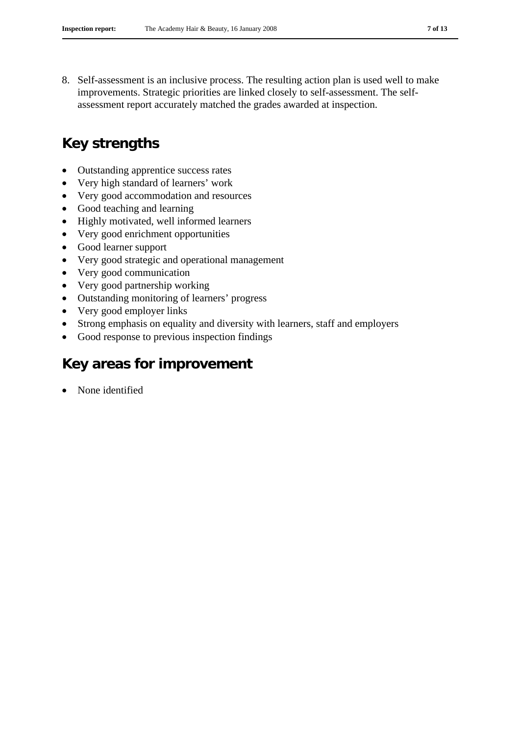8. Self-assessment is an inclusive process. The resulting action plan is used well to make improvements. Strategic priorities are linked closely to self-assessment. The selfassessment report accurately matched the grades awarded at inspection.

## **Key strengths**

- Outstanding apprentice success rates
- Very high standard of learners' work
- Very good accommodation and resources
- Good teaching and learning
- Highly motivated, well informed learners
- Very good enrichment opportunities
- Good learner support
- Very good strategic and operational management
- Very good communication
- Very good partnership working
- Outstanding monitoring of learners' progress
- Very good employer links
- Strong emphasis on equality and diversity with learners, staff and employers
- Good response to previous inspection findings

## **Key areas for improvement**

None identified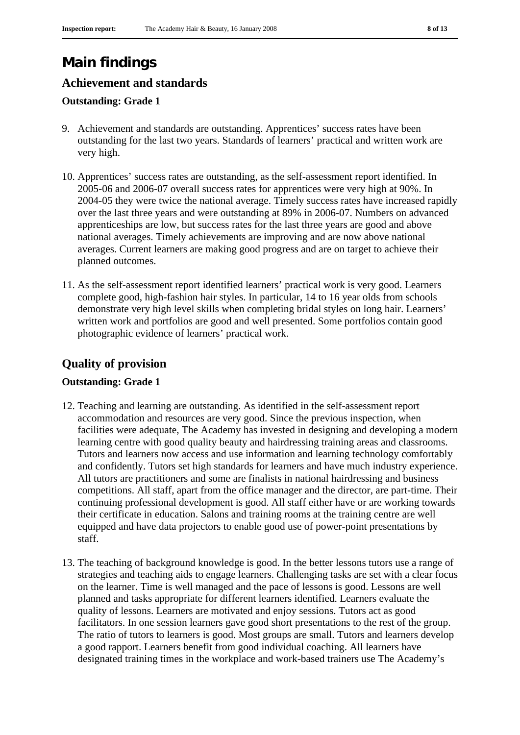# **Main findings**

## **Achievement and standards**

#### **Outstanding: Grade 1**

- 9. Achievement and standards are outstanding. Apprentices' success rates have been outstanding for the last two years. Standards of learners' practical and written work are very high.
- 10. Apprentices' success rates are outstanding, as the self-assessment report identified. In 2005-06 and 2006-07 overall success rates for apprentices were very high at 90%. In 2004-05 they were twice the national average. Timely success rates have increased rapidly over the last three years and were outstanding at 89% in 2006-07. Numbers on advanced apprenticeships are low, but success rates for the last three years are good and above national averages. Timely achievements are improving and are now above national averages. Current learners are making good progress and are on target to achieve their planned outcomes.
- 11. As the self-assessment report identified learners' practical work is very good. Learners complete good, high-fashion hair styles. In particular, 14 to 16 year olds from schools demonstrate very high level skills when completing bridal styles on long hair. Learners' written work and portfolios are good and well presented. Some portfolios contain good photographic evidence of learners' practical work.

## **Quality of provision**

#### **Outstanding: Grade 1**

- 12. Teaching and learning are outstanding. As identified in the self-assessment report accommodation and resources are very good. Since the previous inspection, when facilities were adequate, The Academy has invested in designing and developing a modern learning centre with good quality beauty and hairdressing training areas and classrooms. Tutors and learners now access and use information and learning technology comfortably and confidently. Tutors set high standards for learners and have much industry experience. All tutors are practitioners and some are finalists in national hairdressing and business competitions. All staff, apart from the office manager and the director, are part-time. Their continuing professional development is good. All staff either have or are working towards their certificate in education. Salons and training rooms at the training centre are well equipped and have data projectors to enable good use of power-point presentations by staff.
- 13. The teaching of background knowledge is good. In the better lessons tutors use a range of strategies and teaching aids to engage learners. Challenging tasks are set with a clear focus on the learner. Time is well managed and the pace of lessons is good. Lessons are well planned and tasks appropriate for different learners identified. Learners evaluate the quality of lessons. Learners are motivated and enjoy sessions. Tutors act as good facilitators. In one session learners gave good short presentations to the rest of the group. The ratio of tutors to learners is good. Most groups are small. Tutors and learners develop a good rapport. Learners benefit from good individual coaching. All learners have designated training times in the workplace and work-based trainers use The Academy's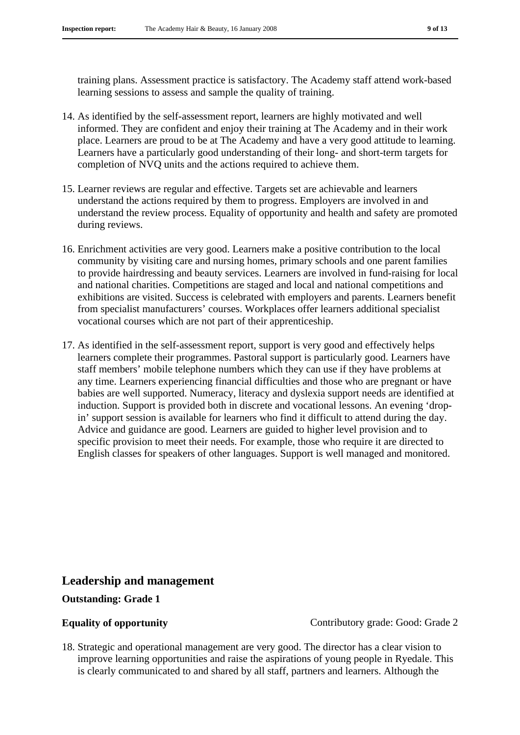training plans. Assessment practice is satisfactory. The Academy staff attend work-based learning sessions to assess and sample the quality of training.

- 14. As identified by the self-assessment report, learners are highly motivated and well informed. They are confident and enjoy their training at The Academy and in their work place. Learners are proud to be at The Academy and have a very good attitude to learning. Learners have a particularly good understanding of their long- and short-term targets for completion of NVQ units and the actions required to achieve them.
- 15. Learner reviews are regular and effective. Targets set are achievable and learners understand the actions required by them to progress. Employers are involved in and understand the review process. Equality of opportunity and health and safety are promoted during reviews.
- 16. Enrichment activities are very good. Learners make a positive contribution to the local community by visiting care and nursing homes, primary schools and one parent families to provide hairdressing and beauty services. Learners are involved in fund-raising for local and national charities. Competitions are staged and local and national competitions and exhibitions are visited. Success is celebrated with employers and parents. Learners benefit from specialist manufacturers' courses. Workplaces offer learners additional specialist vocational courses which are not part of their apprenticeship.
- 17. As identified in the self-assessment report, support is very good and effectively helps learners complete their programmes. Pastoral support is particularly good. Learners have staff members' mobile telephone numbers which they can use if they have problems at any time. Learners experiencing financial difficulties and those who are pregnant or have babies are well supported. Numeracy, literacy and dyslexia support needs are identified at induction. Support is provided both in discrete and vocational lessons. An evening 'dropin' support session is available for learners who find it difficult to attend during the day. Advice and guidance are good. Learners are guided to higher level provision and to specific provision to meet their needs. For example, those who require it are directed to English classes for speakers of other languages. Support is well managed and monitored.

#### **Leadership and management**

#### **Outstanding: Grade 1**

**Equality of opportunity** Contributory grade: Good: Grade 2

18. Strategic and operational management are very good. The director has a clear vision to improve learning opportunities and raise the aspirations of young people in Ryedale. This is clearly communicated to and shared by all staff, partners and learners. Although the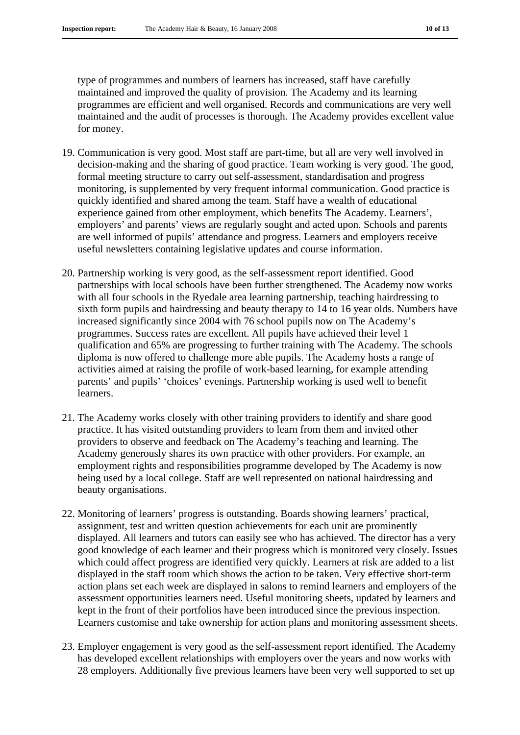type of programmes and numbers of learners has increased, staff have carefully maintained and improved the quality of provision. The Academy and its learning programmes are efficient and well organised. Records and communications are very well maintained and the audit of processes is thorough. The Academy provides excellent value for money.

- 19. Communication is very good. Most staff are part-time, but all are very well involved in decision-making and the sharing of good practice. Team working is very good. The good, formal meeting structure to carry out self-assessment, standardisation and progress monitoring, is supplemented by very frequent informal communication. Good practice is quickly identified and shared among the team. Staff have a wealth of educational experience gained from other employment, which benefits The Academy. Learners', employers' and parents' views are regularly sought and acted upon. Schools and parents are well informed of pupils' attendance and progress. Learners and employers receive useful newsletters containing legislative updates and course information.
- 20. Partnership working is very good, as the self-assessment report identified. Good partnerships with local schools have been further strengthened. The Academy now works with all four schools in the Ryedale area learning partnership, teaching hairdressing to sixth form pupils and hairdressing and beauty therapy to 14 to 16 year olds. Numbers have increased significantly since 2004 with 76 school pupils now on The Academy's programmes. Success rates are excellent. All pupils have achieved their level 1 qualification and 65% are progressing to further training with The Academy. The schools diploma is now offered to challenge more able pupils. The Academy hosts a range of activities aimed at raising the profile of work-based learning, for example attending parents' and pupils' 'choices' evenings. Partnership working is used well to benefit learners.
- 21. The Academy works closely with other training providers to identify and share good practice. It has visited outstanding providers to learn from them and invited other providers to observe and feedback on The Academy's teaching and learning. The Academy generously shares its own practice with other providers. For example, an employment rights and responsibilities programme developed by The Academy is now being used by a local college. Staff are well represented on national hairdressing and beauty organisations.
- 22. Monitoring of learners' progress is outstanding. Boards showing learners' practical, assignment, test and written question achievements for each unit are prominently displayed. All learners and tutors can easily see who has achieved. The director has a very good knowledge of each learner and their progress which is monitored very closely. Issues which could affect progress are identified very quickly. Learners at risk are added to a list displayed in the staff room which shows the action to be taken. Very effective short-term action plans set each week are displayed in salons to remind learners and employers of the assessment opportunities learners need. Useful monitoring sheets, updated by learners and kept in the front of their portfolios have been introduced since the previous inspection. Learners customise and take ownership for action plans and monitoring assessment sheets.
- 23. Employer engagement is very good as the self-assessment report identified. The Academy has developed excellent relationships with employers over the years and now works with 28 employers. Additionally five previous learners have been very well supported to set up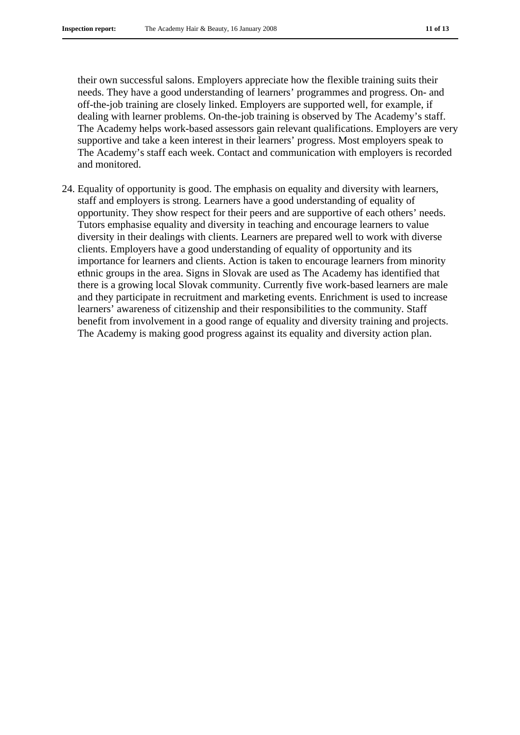their own successful salons. Employers appreciate how the flexible training suits their needs. They have a good understanding of learners' programmes and progress. On- and off-the-job training are closely linked. Employers are supported well, for example, if dealing with learner problems. On-the-job training is observed by The Academy's staff. The Academy helps work-based assessors gain relevant qualifications. Employers are very supportive and take a keen interest in their learners' progress. Most employers speak to The Academy's staff each week. Contact and communication with employers is recorded and monitored.

24. Equality of opportunity is good. The emphasis on equality and diversity with learners, staff and employers is strong. Learners have a good understanding of equality of opportunity. They show respect for their peers and are supportive of each others' needs. Tutors emphasise equality and diversity in teaching and encourage learners to value diversity in their dealings with clients. Learners are prepared well to work with diverse clients. Employers have a good understanding of equality of opportunity and its importance for learners and clients. Action is taken to encourage learners from minority ethnic groups in the area. Signs in Slovak are used as The Academy has identified that there is a growing local Slovak community. Currently five work-based learners are male and they participate in recruitment and marketing events. Enrichment is used to increase learners' awareness of citizenship and their responsibilities to the community. Staff benefit from involvement in a good range of equality and diversity training and projects. The Academy is making good progress against its equality and diversity action plan.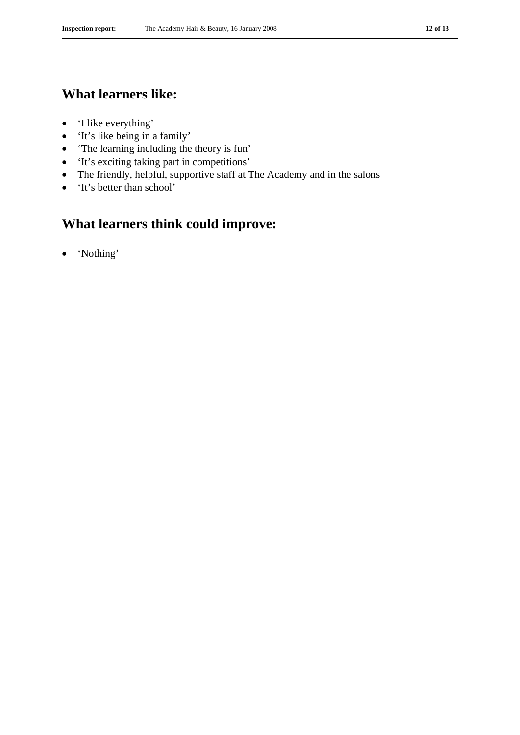## **What learners like:**

- 'I like everything'
- 'It's like being in a family'
- 'The learning including the theory is fun'
- 'It's exciting taking part in competitions'
- The friendly, helpful, supportive staff at The Academy and in the salons
- 'It's better than school'

## **What learners think could improve:**

• 'Nothing'